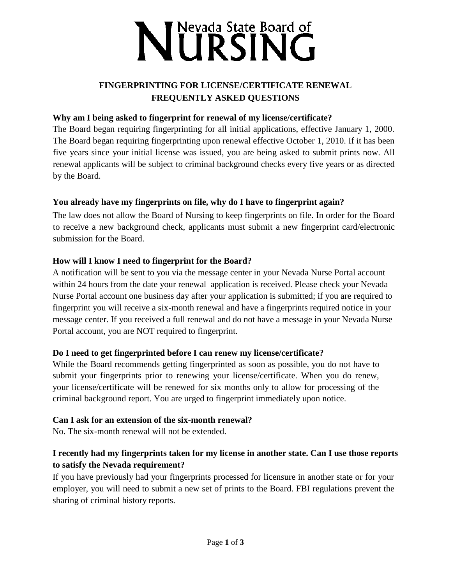# NURSING

## **FINGERPRINTING FOR LICENSE/CERTIFICATE RENEWAL FREQUENTLY ASKED QUESTIONS**

#### **Why am I being asked to fingerprint for renewal of my license/certificate?**

The Board began requiring fingerprinting for all initial applications, effective January 1, 2000. The Board began requiring fingerprinting upon renewal effective October 1, 2010. If it has been five years since your initial license was issued, you are being asked to submit prints now. All renewal applicants will be subject to criminal background checks every five years or as directed by the Board.

#### **You already have my fingerprints on file, why do I have to fingerprint again?**

The law does not allow the Board of Nursing to keep fingerprints on file. In order for the Board to receive a new background check, applicants must submit a new fingerprint card/electronic submission for the Board.

#### **How will I know I need to fingerprint for the Board?**

A notification will be sent to you via the message center in your Nevada Nurse Portal account within 24 hours from the date your renewal application is received. Please check your Nevada Nurse Portal account one business day after your application is submitted; if you are required to fingerprint you will receive a six-month renewal and have a fingerprints required notice in your message center. If you received a full renewal and do not have a message in your Nevada Nurse Portal account, you are NOT required to fingerprint.

#### **Do I need to get fingerprinted before I can renew my license/certificate?**

While the Board recommends getting fingerprinted as soon as possible, you do not have to submit your fingerprints prior to renewing your license/certificate. When you do renew, your license/certificate will be renewed for six months only to allow for processing of the criminal background report. You are urged to fingerprint immediately upon notice.

#### **Can I ask for an extension of the six-month renewal?**

No. The six-month renewal will not be extended.

# **I recently had my fingerprints taken for my license in another state. Can I use those reports to satisfy the Nevada requirement?**

If you have previously had your fingerprints processed for licensure in another state or for your employer, you will need to submit a new set of prints to the Board. FBI regulations prevent the sharing of criminal history reports.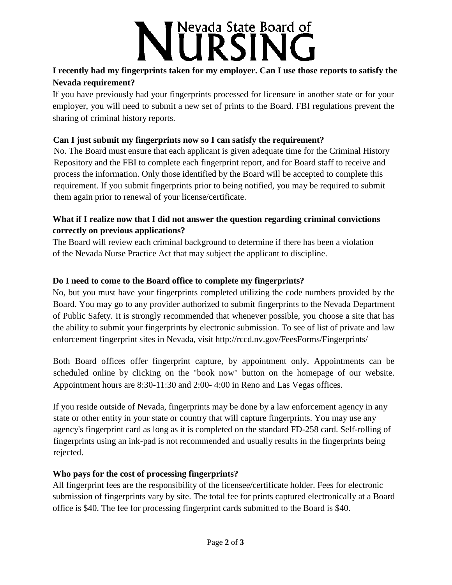# Nevada State Board of **TRS**

## **I recently had my fingerprints taken for my employer. Can I use those reports to satisfy the Nevada requirement?**

If you have previously had your fingerprints processed for licensure in another state or for your employer, you will need to submit a new set of prints to the Board. FBI regulations prevent the sharing of criminal history reports.

### **Can I just submit my fingerprints now so I can satisfy the requirement?**

No. The Board must ensure that each applicant is given adequate time for the Criminal History Repository and the FBI to complete each fingerprint report, and for Board staff to receive and process the information. Only those identified by the Board will be accepted to complete this requirement. If you submit fingerprints prior to being notified, you may be required to submit them again prior to renewal of your license/certificate.

### **What if I realize now that I did not answer the question regarding criminal convictions correctly on previous applications?**

The Board will review each criminal background to determine if there has been a violation of the Nevada Nurse Practice Act that may subject the applicant to discipline.

# **Do I need to come to the Board office to complete my fingerprints?**

No, but you must have your fingerprints completed utilizing the code numbers provided by the Board. You may go to any provider authorized to submit fingerprints to the Nevada Department of Public Safety. It is strongly recommended that whenever possible, you choose a site that has the ability to submit your fingerprints by electronic submission. To see of list of private and law enforcement fingerprint sites in Nevada, visit<http://rccd.nv.gov/FeesForms/Fingerprints/>

Both Board offices offer fingerprint capture, by appointment only. Appointments can be scheduled online by clicking on the "book now" button on the homepage of our website. Appointment hours are 8:30-11:30 and 2:00- 4:00 in Reno and Las Vegas offices.

If you reside outside of Nevada, fingerprints may be done by a law enforcement agency in any state or other entity in your state or country that will capture fingerprints. You may use any agency's fingerprint card as long as it is completed on the standard FD-258 card. Self-rolling of fingerprints using an ink-pad is not recommended and usually results in the fingerprints being rejected.

# **Who pays for the cost of processing fingerprints?**

All fingerprint fees are the responsibility of the licensee/certificate holder. Fees for electronic submission of fingerprints vary by site. The total fee for prints captured electronically at a Board office is \$40. The fee for processing fingerprint cards submitted to the Board is \$40.